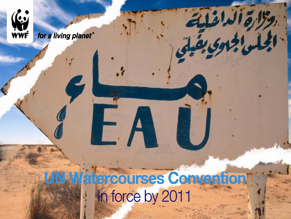

**(e)** 

**WWF** 

for a living planet®

وكارة الداغلية<br>الجارة الدائقية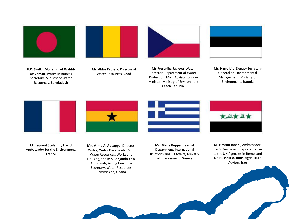







- **H.E. Shaikh Mohammad Wahid-Uz-Zaman**, Water Resources Secretary, Ministry of Water Resources, **Bangladesh**
- **Mr. Abba Tapsala**, Director of Water Resources, **Chad**

**Ms. Veronika Jáglová**, Water Director, Department of Water Protection, Main Advisor to Vice-Minister, Ministry of Environment **Czech Republic**

**Mr. Harry Liiv**, Deputy Secretary General on Environmental Management, Ministry of Environment, **Estonia**







**Mr. Minta A. Aboagye**, Director, Water, Water Directorate, Min. Water Resources, Works and Housing, and **Mr. Benjamin Yaw Ampomah**, Acting Executive Secretary, Water Resources Commission, **Ghana**

**Ms. Maria Peppa**, Head of Department, International Relations and EU Affairs, Ministry of Environment, **Greece**



**Dr. Hassan Janabi**, Ambassador, Iraq's Permanent Representative to the UN Agencies in Rome, and **Dr. Hussein A. Jabir**, Agriculture Adviser, **Iraq**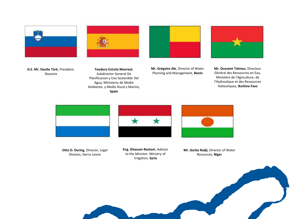





**Teodoro Estrela Monreal**, Subdirector General De Planificacion y Uso Sostenible Del Agua, Ministerio de Medio Ambiente, y Medio Rural y Marino, **Spain**



**Mr. Grégoire Ale**, Director of Water Planning and Management, **Benin**



**Mr. Ousseini Tahnou**, Directeur Général des Ressources en Eau, Ministère de l'Agriculture, de l'Hydraulique et des Ressources Halieutiques, **Burkina Faso**



**Otto O. During**, Director, Legal Division, Sierra Leone



**Eng. Ghassan Rostom**, Advisor to the Minister, Ministry of Irrigation, **Syria**



**Mr. Garba Radji,** Director of Water Resources, **Niger**

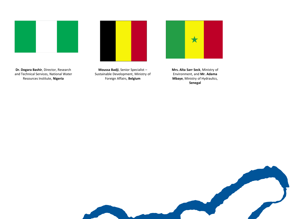

**Dr. Dogara Bashir**, Director, Research and Technical Services, National Water Resources Institute, **Nigeria**

**Moussa Badji**, Senior Specialist – Sustainable Development, Ministry of Foreign Affairs, **Belgium**



**Mrs. Aïta Sarr Seck**, Ministry of Environment, and **Mr. Adama Mbaye**, Ministry of Hydraulics, **Senegal**

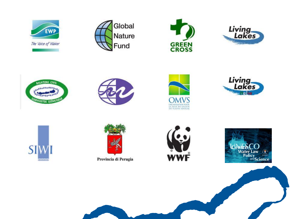

Global Nature Fund

















Provincia di Perugia